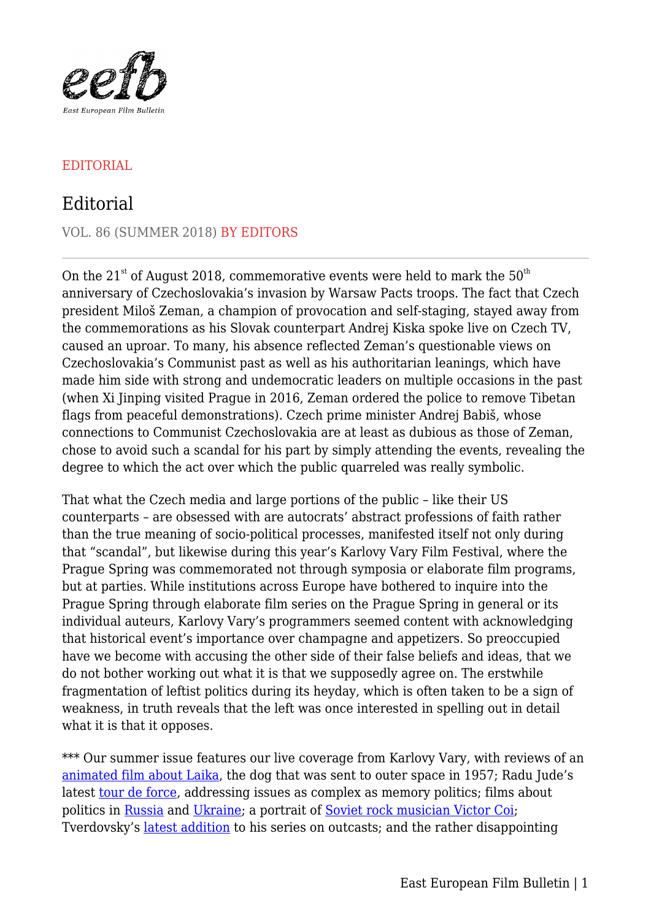

## EDITORIAL

## Editorial

VOL. 86 (SUMMER 2018) BY EDITORS

On the  $21^{st}$  of August 2018, commemorative events were held to mark the  $50^{th}$ anniversary of Czechoslovakia's invasion by Warsaw Pacts troops. The fact that Czech president Miloš Zeman, a champion of provocation and self-staging, stayed away from the commemorations as his Slovak counterpart Andrej Kiska spoke live on Czech TV, caused an uproar. To many, his absence reflected Zeman's questionable views on Czechoslovakia's Communist past as well as his authoritarian leanings, which have made him side with strong and undemocratic leaders on multiple occasions in the past (when Xi Jinping visited Prague in 2016, Zeman ordered the police to remove Tibetan flags from peaceful demonstrations). Czech prime minister Andrej Babiš, whose connections to Communist Czechoslovakia are at least as dubious as those of Zeman, chose to avoid such a scandal for his part by simply attending the events, revealing the degree to which the act over which the public quarreled was really symbolic.

That what the Czech media and large portions of the public – like their US counterparts – are obsessed with are autocrats' abstract professions of faith rather than the true meaning of socio-political processes, manifested itself not only during that "scandal", but likewise during this year's Karlovy Vary Film Festival, where the Prague Spring was commemorated not through symposia or elaborate film programs, but at parties. While institutions across Europe have bothered to inquire into the Prague Spring through elaborate film series on the Prague Spring in general or its individual auteurs, Karlovy Vary's programmers seemed content with acknowledging that historical event's importance over champagne and appetizers. So preoccupied have we become with accusing the other side of their false beliefs and ideas, that we do not bother working out what it is that we supposedly agree on. The erstwhile fragmentation of leftist politics during its heyday, which is often taken to be a sign of weakness, in truth reveals that the left was once interested in spelling out in detail what it is that it opposes.

\*\*\* Our summer issue features our live coverage from Karlovy Vary, with reviews of an [animated film about Laika](https://eefb.org/perspectives/aurel-klimts-laika-lajka-2017/), the dog that was sent to outer space in 1957; Radu Jude's latest [tour de force,](https://eefb.org/perspectives/radu-judes-i-do-not-care-if-we-go-down-in-history-as-barbarians-imi-este-indiferent-daca-in-istorie-vom-intra-ca-barbari-2018/) addressing issues as complex as memory politics; films about politics in [Russia](https://eefb.org/perspectives/vitaly-manskys-putins-witnesses-svideteli-putina-2018/) and [Ukraine;](https://eefb.org/perspectives/roman-bondarchuks-volcano-vulkan-2018/) a portrait of [Soviet rock musician Victor Coi](https://eefb.org/perspectives/kirill-serebrennikovs-summer-leto-2018/); Tverdovsky's [latest addition](https://eefb.org/perspectives/ivan-i-tverdovskys-jumpman-podbrosy-2018/) to his series on outcasts; and the rather disappointing